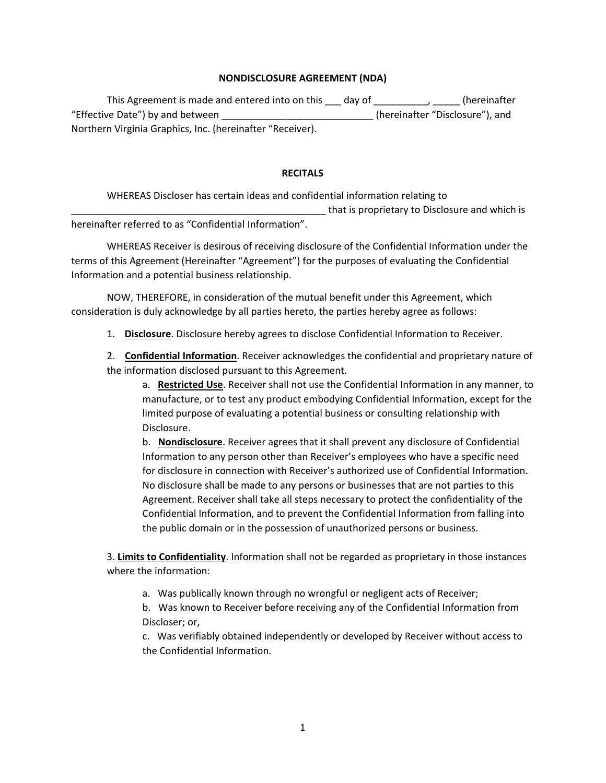## **NONDISCLOSURE AGREEMENT (NDA)**

This Agreement is made and entered into on this \_\_\_ day of \_\_\_\_\_\_\_\_\_\_, \_\_\_\_\_ (hereinafter "Effective Date") by and between \_\_\_\_\_\_\_\_\_\_\_\_\_\_\_\_\_\_\_\_\_\_\_\_\_\_\_\_ (hereinafter "Disclosure"), and Northern Virginia Graphics, Inc. (hereinafter "Receiver).

## **RECITALS**

WHEREAS Discloser has certain ideas and confidential information relating to

\_\_\_\_\_\_\_\_\_\_\_\_\_\_\_\_\_\_\_\_\_\_\_\_\_\_\_\_\_\_\_\_\_\_\_\_\_\_\_\_\_\_\_\_\_\_\_ that is proprietary to Disclosure and which is

hereinafter referred to as "Confidential Information".

WHEREAS Receiver is desirous of receiving disclosure of the Confidential Information under the terms of this Agreement (Hereinafter "Agreement") for the purposes of evaluating the Confidential Information and a potential business relationship.

NOW, THEREFORE, in consideration of the mutual benefit under this Agreement, which consideration is duly acknowledge by all parties hereto, the parties hereby agree as follows:

1. **Disclosure**. Disclosure hereby agrees to disclose Confidential Information to Receiver.

2. **Confidential Information**. Receiver acknowledges the confidential and proprietary nature of the information disclosed pursuant to this Agreement.

a. **Restricted Use**. Receiver shall not use the Confidential Information in any manner, to manufacture, or to test any product embodying Confidential Information, except for the limited purpose of evaluating a potential business or consulting relationship with Disclosure.

b. **Nondisclosure**. Receiver agrees that it shall prevent any disclosure of Confidential Information to any person other than Receiver's employees who have a specific need for disclosure in connection with Receiver's authorized use of Confidential Information. No disclosure shall be made to any persons or businesses that are not parties to this Agreement. Receiver shall take all steps necessary to protect the confidentiality of the Confidential Information, and to prevent the Confidential Information from falling into the public domain or in the possession of unauthorized persons or business.

3. **Limits to Confidentiality**. Information shall not be regarded as proprietary in those instances where the information:

a. Was publically known through no wrongful or negligent acts of Receiver;

b. Was known to Receiver before receiving any of the Confidential Information from Discloser; or,

c. Was verifiably obtained independently or developed by Receiver without access to the Confidential Information.